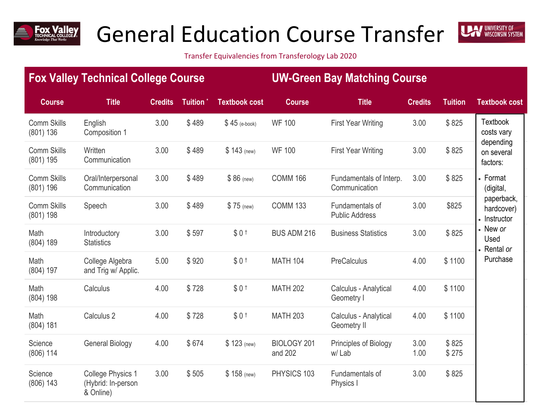

## General Education Course Transfer



Transfer Equivalencies from Transferology Lab 2020

## **Fox Valley Technical College Course UW-Green Bay Matching Course Course Title Credits Tuition \* Textbook cost Course Title Credits Tuition Textbook cost** Comm Skills (801) 136 English Composition 1 3.00 \$ 489 \$ 45 (e-book) WF 100 First Year Writing 3.00 \$ 825 Comm Skills (801) 195 **Written** Communication 3.00 \$ 489 \$ 143 (new) WF 100 First Year Writing 3.00 \$ 825 Comm Skills (801) 196 Oral/Interpersonal **Communication** 3.00 \$ 489 \$ 86 (new) COMM 166 Fundamentals of Interp. **Communication** 3.00 \$ 825 Comm Skills (801) 198 Speech 3.00 \$489 \$75 (new) COMM 133 Fundamentals of Public Address 3.00 \$825 Math (804) 189 Introductory **Statistics** 3.00 \$597 \$ 0 <sup>†</sup> BUS ADM 216 Business Statistics 3.00 \$ 825 Math (804) 197 College Algebra and Trig w/ Applic. 5.00 \$ 920 \$ 0 † MATH 104 PreCalculus 4.00 \$ 1100 | Purchase | Math (804) 198 Calculus 4.00 \$728 \$ 0 <sup>†</sup> MATH 202 Calculus - Analytical Geometry I 4.00 \$ 1100 Math (804) 181 Calculus 2 4.00 \$ 728 \$ 0 <sup>†</sup> MATH 203 Calculus - Analytical Geometry II 4.00 \$ 1100 **Science** (806) 114 General Biology 4.00 \$674 \$123 (new) BIOLOGY 201 and 202 Principles of Biology  $w/$  Lab 3.00 1.00 \$ 825 \$ 275 **Science** (806) 143 College Physics 1 (Hybrid: In-person & Online) 3.00 \$ 505 \$ 158 (new) PHYSICS 103 Fundamentals of Physics I 3.00 \$ 825 **Textbook** costs vary depending on several factors: Format (digital, paperback, hardcover) • Instructor New *or* Used Rental *or* Purchase